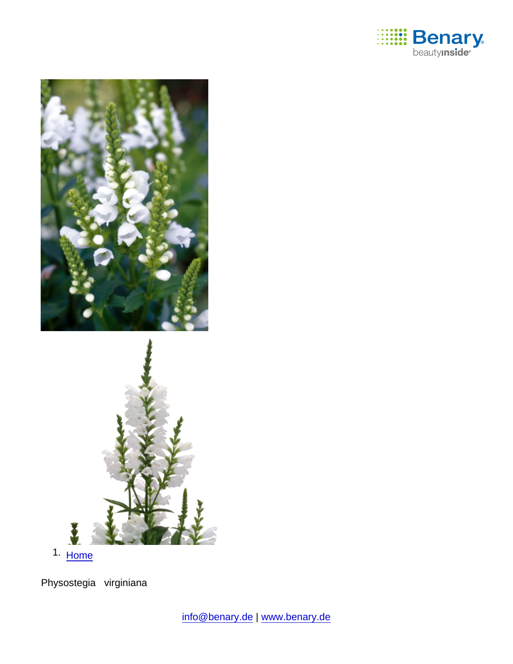

1. [Home](https://www.benary.com/)

Physostegia virginiana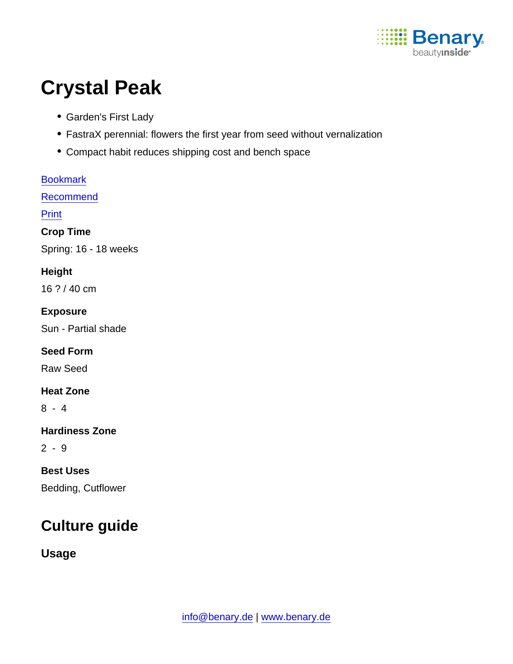

# Crystal Peak

- Garden's First Lady
- FastraX perennial: flowers the first year from seed without vernalization
- Compact habit reduces shipping cost and bench space

| <b>Bookmark</b>       |
|-----------------------|
| Recommend             |
| <b>Print</b>          |
| Crop Time             |
| Spring: 16 - 18 weeks |
| Height                |
| 16 ? / 40 cm          |
| Exposure              |
| Sun - Partial shade   |
| <b>Seed Form</b>      |
| <b>Raw Seed</b>       |
| <b>Heat Zone</b>      |
| $8 - 4$               |
| <b>Hardiness Zone</b> |
| $2 - 9$               |
| <b>Best Uses</b>      |
| Bedding, Cutflower    |

# Culture guide

Usage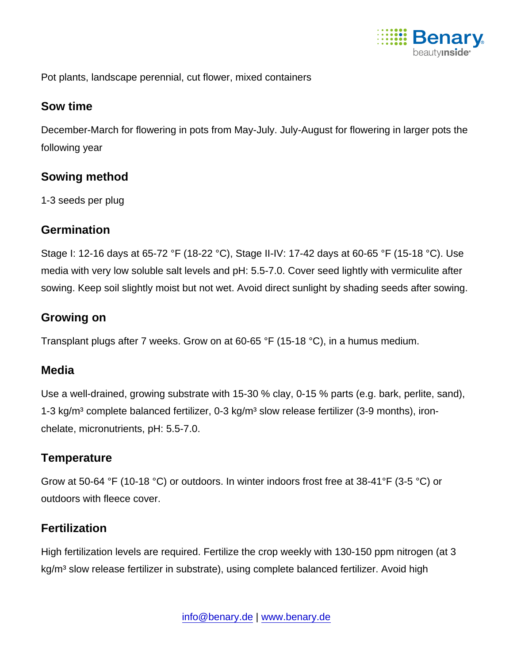

Pot plants, landscape perennial, cut flower, mixed containers

#### Sow time

December-March for flowering in pots from May-July. July-August for flowering in larger pots the following year

#### Sowing method

1-3 seeds per plug

#### **Germination**

Stage I: 12-16 days at 65-72 °F (18-22 °C), Stage II-IV: 17-42 days at 60-65 °F (15-18 °C). Use media with very low soluble salt levels and pH: 5.5-7.0. Cover seed lightly with vermiculite after sowing. Keep soil slightly moist but not wet. Avoid direct sunlight by shading seeds after sowing.

#### Growing on

Transplant plugs after 7 weeks. Grow on at 60-65 °F (15-18 °C), in a humus medium.

## Media

Use a well-drained, growing substrate with 15-30 % clay, 0-15 % parts (e.g. bark, perlite, sand), 1-3 kg/m<sup>3</sup> complete balanced fertilizer, 0-3 kg/m<sup>3</sup> slow release fertilizer (3-9 months), ironchelate, micronutrients, pH: 5.5-7.0.

## **Temperature**

Grow at 50-64 °F (10-18 °C) or outdoors. In winter indoors frost free at 38-41°F (3-5 °C) or outdoors with fleece cover.

## **Fertilization**

High fertilization levels are required. Fertilize the crop weekly with 130-150 ppm nitrogen (at 3 kg/m<sup>3</sup> slow release fertilizer in substrate), using complete balanced fertilizer. Avoid high